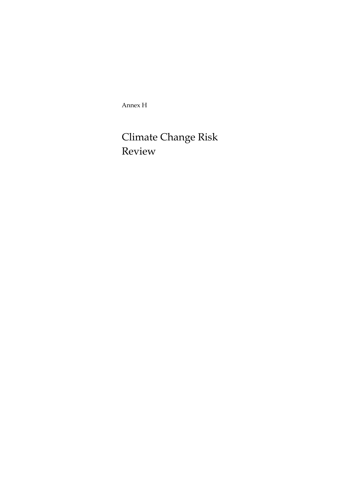Annex H

# Climate Change Risk Review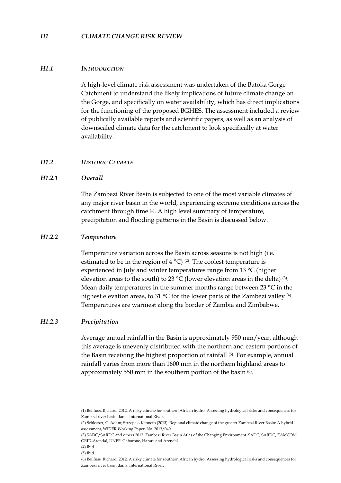#### *H1 CLIMATE CHANGE RISK REVIEW*

#### *H1.1 INTRODUCTION*

A high-level climate risk assessment was undertaken of the Batoka Gorge Catchment to understand the likely implications of future climate change on the Gorge, and specifically on water availability, which has direct implications for the functioning of the proposed BGHES. The assessment included a review of publically available reports and scientific papers, as well as an analysis of downscaled climate data for the catchment to look specifically at water availability.

### *H1.2 HISTORIC CLIMATE*

#### *H1.2.1 Overall*

The Zambezi River Basin is subjected to one of the most variable climates of any major river basin in the world, experiencing extreme conditions across the catchment through time (1). A high level summary of temperature, precipitation and flooding patterns in the Basin is discussed below.

#### *H1.2.2 Temperature*

Temperature variation across the Basin across seasons is not high (i.e. estimated to be in the region of  $4^{\circ}C$ ) <sup>(2)</sup>. The coolest temperature is experienced in July and winter temperatures range from 13 °C (higher elevation areas to the south) to 23  $^{\circ}$ C (lower elevation areas in the delta) (3). Mean daily temperatures in the summer months range between 23 °C in the highest elevation areas, to 31 °C for the lower parts of the Zambezi valley <sup>(4)</sup>. Temperatures are warmest along the border of Zambia and Zimbabwe.

#### *H1.2.3 Precipitation*

Average annual rainfall in the Basin is approximately 950 mm/year, although this average is unevenly distributed with the northern and eastern portions of the Basin receiving the highest proportion of rainfall (5). For example, annual rainfall varies from more than 1600 mm in the northern highland areas to approximately 550 mm in the southern portion of the basin  $(6)$ .

<u>.</u>

<sup>(1)</sup> Beilfuss, Richard. 2012. A risky climate for southern African hydro: Assessing hydrological risks and consequences for Zambezi river basin dams. International River.

<sup>(2)</sup> Schlosser, C. Adam; Strzepek, Kenneth (2013): Regional climate change of the greater Zambezi River Basin: A hybrid assessment, WIDER Working Paper, No. 2013/040.

<sup>(3)</sup> SADC/SARDC and others 2012. Zambezi River Basin Atlas of the Changing Environment. SADC, SARDC, ZAMCOM, GRID-Arendal, UNEP. Gaborone, Harare and Arendal.

<sup>(4)</sup> Ibid.

<sup>(5)</sup> Ibid.

<sup>(6)</sup> Beilfuss, Richard. 2012. A risky climate for southern African hydro: Assessing hydrological risks and consequences for Zambezi river basin dams. International River.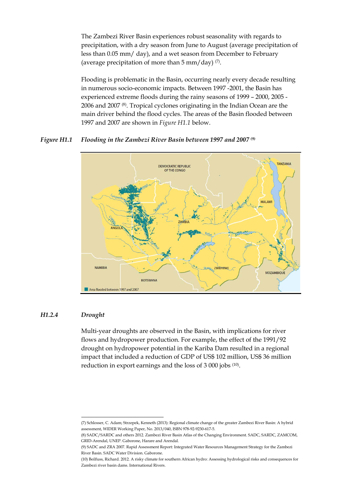The Zambezi River Basin experiences robust seasonality with regards to precipitation, with a dry season from June to August (average precipitation of less than 0.05 mm/ day), and a wet season from December to February (average precipitation of more than  $5 \text{ mm}/\text{day}$ ) (7).

Flooding is problematic in the Basin, occurring nearly every decade resulting in numerous socio-economic impacts. Between 1997 -2001, the Basin has experienced extreme floods during the rainy seasons of 1999 – 2000, 2005 - 2006 and 2007 (8). Tropical cyclones originating in the Indian Ocean are the main driver behind the flood cycles. The areas of the Basin flooded between 1997 and 2007 are shown in *Figure H1.1* below.

## *Figure H1.1 Flooding in the Zambezi River Basin between 1997 and 2007 (9)*



#### *H1.2.4 Drought*

-

Multi-year droughts are observed in the Basin, with implications for river flows and hydropower production. For example, the effect of the 1991/92 drought on hydropower potential in the Kariba Dam resulted in a regional impact that included a reduction of GDP of US\$ 102 million, US\$ 36 million reduction in export earnings and the loss of 3 000 jobs (10).

<sup>(7)</sup> Schlosser, C. Adam; Strzepek, Kenneth (2013): Regional climate change of the greater Zambezi River Basin: A hybrid assessment, WIDER Working Paper, No. 2013/040, ISBN 978-92-9230-617-5.

<sup>(8)</sup> SADC/SARDC and others 2012. Zambezi River Basin Atlas of the Changing Environment. SADC, SARDC, ZAMCOM, GRID-Arendal, UNEP. Gaborone, Harare and Arendal.

<sup>(9)</sup> SADC and ZRA 2007. Rapid Assessment Report: Integrated Water Resources Management Strategy for the Zambezi River Basin. SADC Water Division. Gaborone.

<sup>(10)</sup> Beilfuss, Richard. 2012. A risky climate for southern African hydro: Assessing hydrological risks and consequences for Zambezi river basin dams. International Rivers.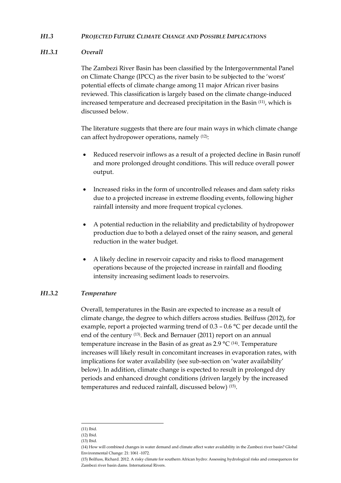### *H1.3 PROJECTED FUTURE CLIMATE CHANGE AND POSSIBLE IMPLICATIONS*

## *H1.3.1 Overall*

The Zambezi River Basin has been classified by the Intergovernmental Panel on Climate Change (IPCC) as the river basin to be subjected to the 'worst' potential effects of climate change among 11 major African river basins reviewed. This classification is largely based on the climate change-induced increased temperature and decreased precipitation in the Basin (11), which is discussed below.

The literature suggests that there are four main ways in which climate change can affect hydropower operations, namely (12):

- Reduced reservoir inflows as a result of a projected decline in Basin runoff and more prolonged drought conditions. This will reduce overall power output.
- Increased risks in the form of uncontrolled releases and dam safety risks due to a projected increase in extreme flooding events, following higher rainfall intensity and more frequent tropical cyclones.
- A potential reduction in the reliability and predictability of hydropower production due to both a delayed onset of the rainy season, and general reduction in the water budget.
- A likely decline in reservoir capacity and risks to flood management operations because of the projected increase in rainfall and flooding intensity increasing sediment loads to reservoirs.

## *H1.3.2 Temperature*

Overall, temperatures in the Basin are expected to increase as a result of climate change, the degree to which differs across studies. Beilfuss (2012), for example, report a projected warming trend of 0.3 – 0.6 °C per decade until the end of the century (13). Beck and Bernauer (2011) report on an annual temperature increase in the Basin of as great as  $2.9 \text{ °C}$  (14). Temperature increases will likely result in concomitant increases in evaporation rates, with implications for water availability (see sub-section on 'water availability' below). In addition, climate change is expected to result in prolonged dry periods and enhanced drought conditions (driven largely by the increased temperatures and reduced rainfall, discussed below) (15).

<sup>-</sup>(11) Ibid.

<sup>(12)</sup> Ibid.

<sup>(13)</sup> Ibid.

<sup>(14)</sup> How will combined changes in water demand and climate affect water availability in the Zambezi river basin? Global Environmental Change: 21: 1061 -1072.

<sup>(15)</sup> Beilfuss, Richard. 2012. A risky climate for southern African hydro: Assessing hydrological risks and consequences for Zambezi river basin dams. International Rivers.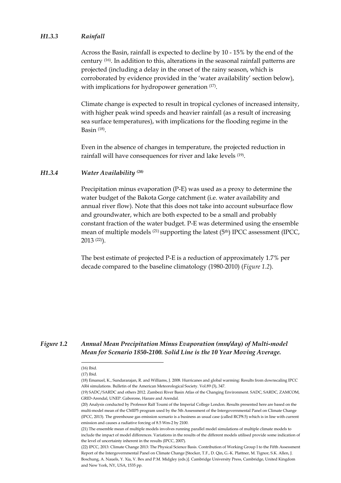### *H1.3.3 Rainfall*

Across the Basin, rainfall is expected to decline by 10 - 15% by the end of the century (16). In addition to this, alterations in the seasonal rainfall patterns are projected (including a delay in the onset of the rainy season, which is corroborated by evidence provided in the 'water availability' section below), with implications for hydropower generation  $(17)$ .

Climate change is expected to result in tropical cyclones of increased intensity, with higher peak wind speeds and heavier rainfall (as a result of increasing sea surface temperatures), with implications for the flooding regime in the Basin (18).

Even in the absence of changes in temperature, the projected reduction in rainfall will have consequences for river and lake levels (19).

#### *H1.3.4 Water Availability (20)*

Precipitation minus evaporation (P-E) was used as a proxy to determine the water budget of the Bakota Gorge catchment (i.e. water availability and annual river flow). Note that this does not take into account subsurface flow and groundwater, which are both expected to be a small and probably constant fraction of the water budget. P-E was determined using the ensemble mean of multiple models <sup>(21)</sup> supporting the latest (5<sup>th</sup>) IPCC assessment (IPCC, 2013 (22)).

The best estimate of projected P-E is a reduction of approximately 1.7% per decade compared to the baseline climatology (1980-2010) (*Figure 1.2*).

## *Figure 1.2 Annual Mean Precipitation Minus Evaporation (mm/day) of Multi-model Mean for Scenario 1850-2100. Solid Line is the 10 Year Moving Average.*

<u>.</u>

<sup>(16)</sup> Ibid.

<sup>(17)</sup> Ibid.

<sup>(18)</sup> Emanuel, K., Sundararajan, R. and Williams, J. 2008. Hurricanes and global warming: Results from downscaling IPCC AR4 simulations. Bulletin of the American Meteorological Society. Vol.89 (3), 347.

<sup>(19)</sup> SADC/SARDC and others 2012. Zambezi River Basin Atlas of the Changing Environment. SADC, SARDC, ZAMCOM, GRID-Arendal, UNEP. Gaborone, Harare and Arendal.

<sup>(20)</sup> Analysis conducted by Professor Ralf Toumi of the Imperial College London. Results presented here are based on the multi-model mean of the CMIP5 program used by the 5th Assessment of the Intergovernmental Panel on Climate Change (IPCC, 2013). The greenhouse gas emission scenario is a business as usual case (called RCP8.5) which is in line with current emission and causes a radiative forcing of 8.5 Wm-2 by 2100.

<sup>(21)</sup> The ensemble mean of multiple models involves running parallel model simulations of multiple climate models to include the impact of model differences. Variations in the results of the different models utilised provide some indication of the level of uncertainty inherent in the results (IPCC, 2007).

<sup>(22)</sup> IPCC, 2013: Climate Change 2013: The Physical Science Basis. Contribution of Working Group I to the Fifth Assessment Report of the Intergovernmental Panel on Climate Change [Stocker, T.F., D. Qin, G.-K. Plattner, M. Tignor, S.K. Allen, J. Boschung, A. Nauels, Y. Xia, V. Bex and P.M. Midgley (eds.)]. Cambridge University Press, Cambridge, United Kingdom and New York, NY, USA, 1535 pp.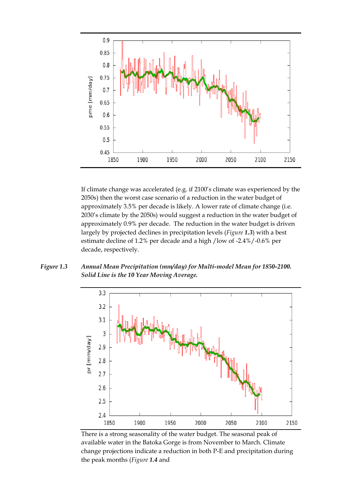

If climate change was accelerated (e.g. if 2100's climate was experienced by the 2050s) then the worst case scenario of a reduction in the water budget of approximately 3.5% per decade is likely. A lower rate of climate change (i.e. 2030's climate by the 2050s) would suggest a reduction in the water budget of approximately 0.9% per decade. The reduction in the water budget is driven largely by projected declines in precipitation levels (*Figure 1.3*) with a best estimate decline of 1.2% per decade and a high /low of -2.4%/-0.6% per decade, respectively.

*Figure 1.3 Annual Mean Precipitation (mm/day) for Multi-model Mean for 1850-2100. Solid Line is the 10 Year Moving Average.* 



There is a strong seasonality of the water budget. The seasonal peak of available water in the Batoka Gorge is from November to March. Climate change projections indicate a reduction in both P-E and precipitation during the peak months (*Figure 1.4* and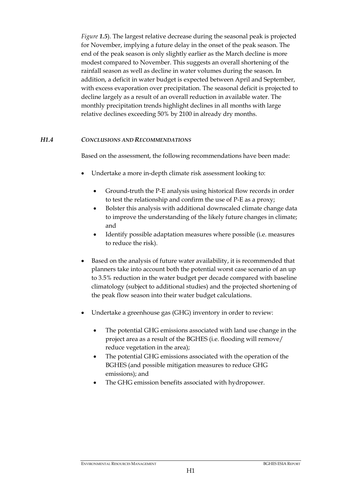*Figure 1.5*). The largest relative decrease during the seasonal peak is projected for November, implying a future delay in the onset of the peak season. The end of the peak season is only slightly earlier as the March decline is more modest compared to November. This suggests an overall shortening of the rainfall season as well as decline in water volumes during the season. In addition, a deficit in water budget is expected between April and September, with excess evaporation over precipitation. The seasonal deficit is projected to decline largely as a result of an overall reduction in available water. The monthly precipitation trends highlight declines in all months with large relative declines exceeding 50% by 2100 in already dry months.

## *H1.4 CONCLUSIONS AND RECOMMENDATIONS*

Based on the assessment, the following recommendations have been made:

- Undertake a more in-depth climate risk assessment looking to:
	- Ground-truth the P-E analysis using historical flow records in order to test the relationship and confirm the use of P-E as a proxy;
	- Bolster this analysis with additional downscaled climate change data to improve the understanding of the likely future changes in climate; and
	- Identify possible adaptation measures where possible (i.e. measures to reduce the risk).
- Based on the analysis of future water availability, it is recommended that planners take into account both the potential worst case scenario of an up to 3.5% reduction in the water budget per decade compared with baseline climatology (subject to additional studies) and the projected shortening of the peak flow season into their water budget calculations.
- Undertake a greenhouse gas (GHG) inventory in order to review:
	- The potential GHG emissions associated with land use change in the project area as a result of the BGHES (i.e. flooding will remove/ reduce vegetation in the area);
	- The potential GHG emissions associated with the operation of the BGHES (and possible mitigation measures to reduce GHG emissions); and
	- The GHG emission benefits associated with hydropower.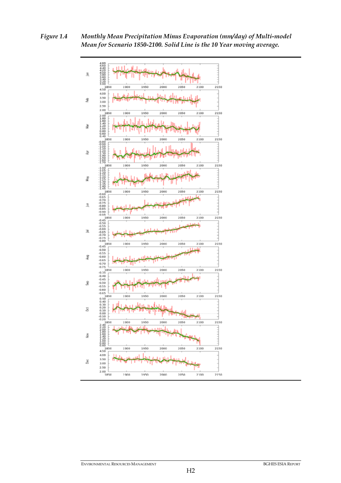*Figure 1.4 Monthly Mean Precipitation Minus Evaporation (mm/day) of Multi-model Mean for Scenario 1850-2100. Solid Line is the 10 Year moving average.* 

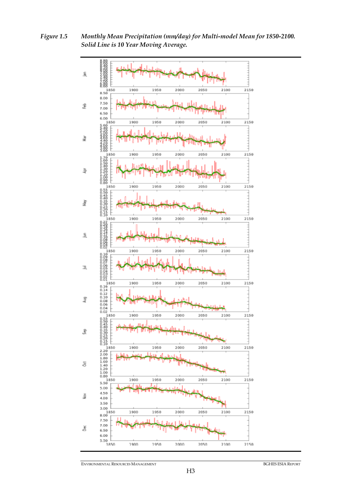*Figure 1.5 Monthly Mean Precipitation (mm/day) for Multi-model Mean for 1850-2100. Solid Line is 10 Year Moving Average.*